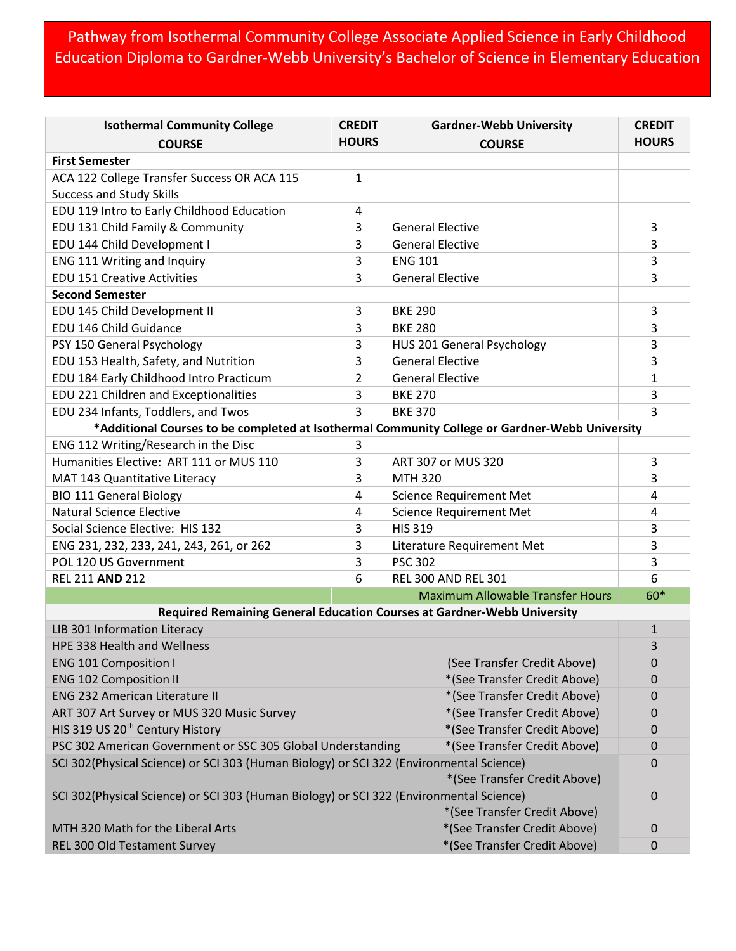## Pathway from Isothermal Community College Associate Applied Science in Early Childhood Education Diploma to Gardner-Webb University's Bachelor of Science in Elementary Education

| <b>Isothermal Community College</b>                                                                    | <b>CREDIT</b>  | <b>Gardner-Webb University</b>                                          | <b>CREDIT</b>    |  |
|--------------------------------------------------------------------------------------------------------|----------------|-------------------------------------------------------------------------|------------------|--|
| <b>COURSE</b>                                                                                          | <b>HOURS</b>   | <b>COURSE</b>                                                           | <b>HOURS</b>     |  |
| <b>First Semester</b>                                                                                  |                |                                                                         |                  |  |
| ACA 122 College Transfer Success OR ACA 115                                                            | $\mathbf{1}$   |                                                                         |                  |  |
| <b>Success and Study Skills</b>                                                                        |                |                                                                         |                  |  |
| EDU 119 Intro to Early Childhood Education                                                             | 4              |                                                                         |                  |  |
| EDU 131 Child Family & Community                                                                       | 3              | <b>General Elective</b>                                                 | 3                |  |
| EDU 144 Child Development I                                                                            | 3              | <b>General Elective</b>                                                 | 3                |  |
| ENG 111 Writing and Inquiry                                                                            | 3              | <b>ENG 101</b>                                                          | 3                |  |
| <b>EDU 151 Creative Activities</b>                                                                     | 3              | <b>General Elective</b>                                                 | 3                |  |
| <b>Second Semester</b>                                                                                 |                |                                                                         |                  |  |
| EDU 145 Child Development II                                                                           | 3              | <b>BKE 290</b>                                                          | 3                |  |
| EDU 146 Child Guidance                                                                                 | 3              | <b>BKE 280</b>                                                          | 3                |  |
| PSY 150 General Psychology                                                                             | 3              | HUS 201 General Psychology                                              | 3                |  |
| EDU 153 Health, Safety, and Nutrition                                                                  | 3              | <b>General Elective</b>                                                 | 3                |  |
| EDU 184 Early Childhood Intro Practicum                                                                | $\overline{2}$ | <b>General Elective</b>                                                 | $\mathbf{1}$     |  |
| EDU 221 Children and Exceptionalities                                                                  | 3              | <b>BKE 270</b>                                                          | 3                |  |
| EDU 234 Infants, Toddlers, and Twos                                                                    | 3              | <b>BKE 370</b>                                                          | 3                |  |
| *Additional Courses to be completed at Isothermal Community College or Gardner-Webb University         |                |                                                                         |                  |  |
| ENG 112 Writing/Research in the Disc                                                                   | 3              |                                                                         |                  |  |
| Humanities Elective: ART 111 or MUS 110                                                                | 3              | ART 307 or MUS 320                                                      | 3                |  |
| MAT 143 Quantitative Literacy                                                                          | 3              | <b>MTH 320</b>                                                          | 3                |  |
| <b>BIO 111 General Biology</b>                                                                         | 4              | <b>Science Requirement Met</b>                                          | 4                |  |
| <b>Natural Science Elective</b>                                                                        | 4              | <b>Science Requirement Met</b>                                          | 4                |  |
| Social Science Elective: HIS 132                                                                       | 3              | <b>HIS 319</b>                                                          | 3                |  |
| ENG 231, 232, 233, 241, 243, 261, or 262                                                               | 3              | Literature Requirement Met                                              | 3                |  |
| POL 120 US Government                                                                                  | 3              | <b>PSC 302</b>                                                          | 3                |  |
| <b>REL 211 AND 212</b>                                                                                 | 6              | <b>REL 300 AND REL 301</b>                                              | 6                |  |
|                                                                                                        |                | <b>Maximum Allowable Transfer Hours</b>                                 | 60*              |  |
|                                                                                                        |                | Required Remaining General Education Courses at Gardner-Webb University |                  |  |
| LIB 301 Information Literacy                                                                           |                |                                                                         | $\mathbf{1}$     |  |
| HPE 338 Health and Wellness                                                                            |                |                                                                         | 3                |  |
| <b>ENG 101 Composition I</b><br>(See Transfer Credit Above)                                            |                |                                                                         | 0                |  |
| <b>ENG 102 Composition II</b><br>*(See Transfer Credit Above)                                          |                |                                                                         | $\boldsymbol{0}$ |  |
| <b>ENG 232 American Literature II</b><br>*(See Transfer Credit Above)                                  |                |                                                                         | $\mathbf 0$      |  |
| ART 307 Art Survey or MUS 320 Music Survey<br>*(See Transfer Credit Above)                             |                |                                                                         | 0                |  |
| HIS 319 US 20 <sup>th</sup> Century History<br>*(See Transfer Credit Above)                            |                |                                                                         | $\mathbf 0$      |  |
| PSC 302 American Government or SSC 305 Global Understanding<br>*(See Transfer Credit Above)            |                |                                                                         | $\mathbf 0$      |  |
| SCI 302(Physical Science) or SCI 303 (Human Biology) or SCI 322 (Environmental Science)                |                |                                                                         |                  |  |
| *(See Transfer Credit Above)                                                                           |                |                                                                         |                  |  |
| SCI 302(Physical Science) or SCI 303 (Human Biology) or SCI 322 (Environmental Science)<br>$\mathbf 0$ |                |                                                                         |                  |  |
|                                                                                                        |                | *(See Transfer Credit Above)                                            |                  |  |
| MTH 320 Math for the Liberal Arts                                                                      |                | *(See Transfer Credit Above)                                            | $\mathbf 0$      |  |
| REL 300 Old Testament Survey                                                                           |                | *(See Transfer Credit Above)                                            | $\mathbf 0$      |  |